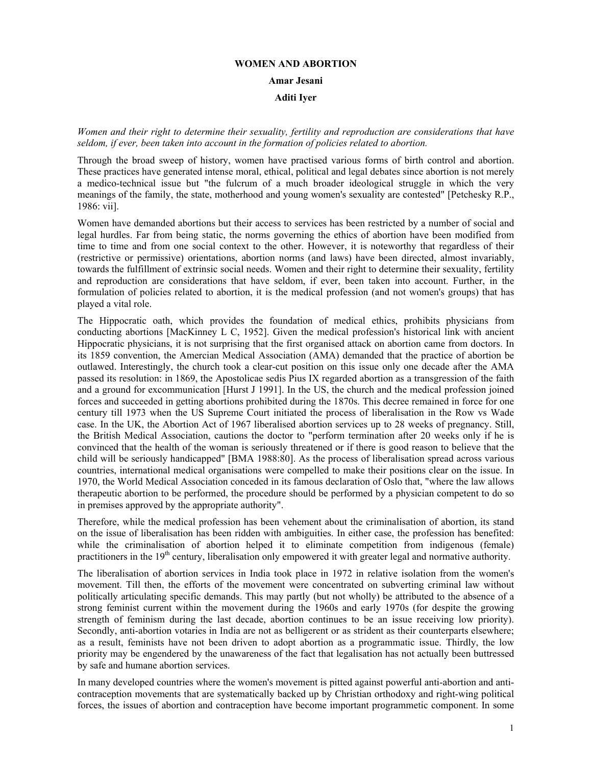# **WOMEN AND ABORTION Amar Jesani Aditi Iyer**

*Women and their right to determine their sexuality, fertility and reproduction are considerations that have seldom, if ever, been taken into account in the formation of policies related to abortion.* 

Through the broad sweep of history, women have practised various forms of birth control and abortion. These practices have generated intense moral, ethical, political and legal debates since abortion is not merely a medico-technical issue but "the fulcrum of a much broader ideological struggle in which the very meanings of the family, the state, motherhood and young women's sexuality are contested" [Petchesky R.P., 1986: vii].

Women have demanded abortions but their access to services has been restricted by a number of social and legal hurdles. Far from being static, the norms governing the ethics of abortion have been modified from time to time and from one social context to the other. However, it is noteworthy that regardless of their (restrictive or permissive) orientations, abortion norms (and laws) have been directed, almost invariably, towards the fulfillment of extrinsic social needs. Women and their right to determine their sexuality, fertility and reproduction are considerations that have seldom, if ever, been taken into account. Further, in the formulation of policies related to abortion, it is the medical profession (and not women's groups) that has played a vital role.

The Hippocratic oath, which provides the foundation of medical ethics, prohibits physicians from conducting abortions [MacKinney L C, 1952]. Given the medical profession's historical link with ancient Hippocratic physicians, it is not surprising that the first organised attack on abortion came from doctors. In its 1859 convention, the Amercian Medical Association (AMA) demanded that the practice of abortion be outlawed. Interestingly, the church took a clear-cut position on this issue only one decade after the AMA passed its resolution: in 1869, the Apostolicae sedis Pius IX regarded abortion as a transgression of the faith and a ground for excommunication [Hurst J 1991]. In the US, the church and the medical profession joined forces and succeeded in getting abortions prohibited during the 1870s. This decree remained in force for one century till 1973 when the US Supreme Court initiated the process of liberalisation in the Row vs Wade case. In the UK, the Abortion Act of 1967 liberalised abortion services up to 28 weeks of pregnancy. Still, the British Medical Association, cautions the doctor to "perform termination after 20 weeks only if he is convinced that the health of the woman is seriously threatened or if there is good reason to believe that the child will be seriously handicapped" [BMA 1988:80]. As the process of liberalisation spread across various countries, international medical organisations were compelled to make their positions clear on the issue. In 1970, the World Medical Association conceded in its famous declaration of Oslo that, "where the law allows therapeutic abortion to be performed, the procedure should be performed by a physician competent to do so in premises approved by the appropriate authority".

Therefore, while the medical profession has been vehement about the criminalisation of abortion, its stand on the issue of liberalisation has been ridden with ambiguities. In either case, the profession has benefited: while the criminalisation of abortion helped it to eliminate competition from indigenous (female) practitioners in the 19<sup>th</sup> century, liberalisation only empowered it with greater legal and normative authority.

The liberalisation of abortion services in India took place in 1972 in relative isolation from the women's movement. Till then, the efforts of the movement were concentrated on subverting criminal law without politically articulating specific demands. This may partly (but not wholly) be attributed to the absence of a strong feminist current within the movement during the 1960s and early 1970s (for despite the growing strength of feminism during the last decade, abortion continues to be an issue receiving low priority). Secondly, anti-abortion votaries in India are not as belligerent or as strident as their counterparts elsewhere; as a result, feminists have not been driven to adopt abortion as a programmatic issue. Thirdly, the low priority may be engendered by the unawareness of the fact that legalisation has not actually been buttressed by safe and humane abortion services.

In many developed countries where the women's movement is pitted against powerful anti-abortion and anticontraception movements that are systematically backed up by Christian orthodoxy and right-wing political forces, the issues of abortion and contraception have become important programmetic component. In some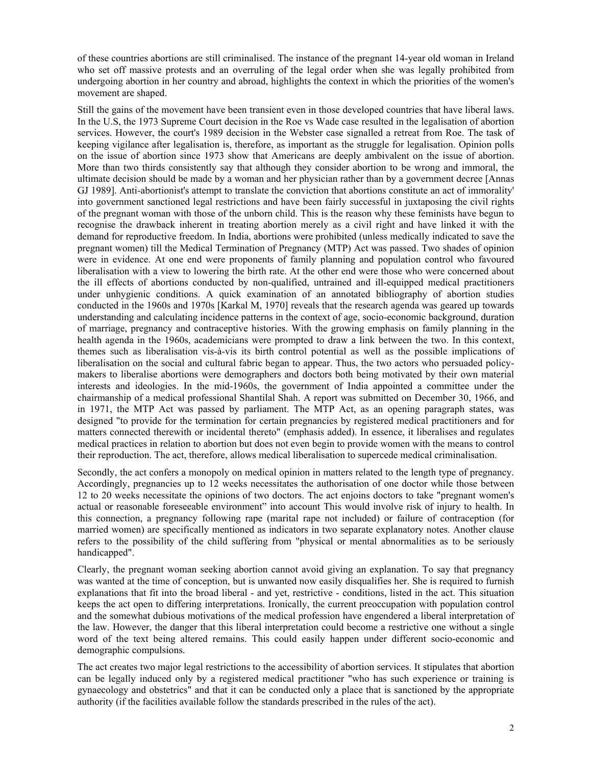of these countries abortions are still criminalised. The instance of the pregnant 14-year old woman in Ireland who set off massive protests and an overruling of the legal order when she was legally prohibited from undergoing abortion in her country and abroad, highlights the context in which the priorities of the women's movement are shaped.

Still the gains of the movement have been transient even in those developed countries that have liberal laws. In the U.S, the 1973 Supreme Court decision in the Roe vs Wade case resulted in the legalisation of abortion services. However, the court's 1989 decision in the Webster case signalled a retreat from Roe. The task of keeping vigilance after legalisation is, therefore, as important as the struggle for legalisation. Opinion polls on the issue of abortion since 1973 show that Americans are deeply ambivalent on the issue of abortion. More than two thirds consistently say that although they consider abortion to be wrong and immoral, the ultimate decision should be made by a woman and her physician rather than by a government decree [Annas GJ 1989]. Anti-abortionist's attempt to translate the conviction that abortions constitute an act of immorality' into government sanctioned legal restrictions and have been fairly successful in juxtaposing the civil rights of the pregnant woman with those of the unborn child. This is the reason why these feminists have begun to recognise the drawback inherent in treating abortion merely as a civil right and have linked it with the demand for reproductive freedom. In India, abortions were prohibited (unless medically indicated to save the pregnant women) till the Medical Termination of Pregnancy (MTP) Act was passed. Two shades of opinion were in evidence. At one end were proponents of family planning and population control who favoured liberalisation with a view to lowering the birth rate. At the other end were those who were concerned about the ill effects of abortions conducted by non-qualified, untrained and ill-equipped medical practitioners under unhygienic conditions. A quick examination of an annotated bibliography of abortion studies conducted in the 1960s and 1970s [Karkal M, 1970] reveals that the research agenda was geared up towards understanding and calculating incidence patterns in the context of age, socio-economic background, duration of marriage, pregnancy and contraceptive histories. With the growing emphasis on family planning in the health agenda in the 1960s, academicians were prompted to draw a link between the two. In this context, themes such as liberalisation vis-à-vis its birth control potential as well as the possible implications of liberalisation on the social and cultural fabric began to appear. Thus, the two actors who persuaded policymakers to liberalise abortions were demographers and doctors both being motivated by their own material interests and ideologies. In the mid-1960s, the government of India appointed a committee under the chairmanship of a medical professional Shantilal Shah. A report was submitted on December 30, 1966, and in 1971, the MTP Act was passed by parliament. The MTP Act, as an opening paragraph states, was designed "to provide for the termination for certain pregnancies by registered medical practitioners and for matters connected therewith or incidental thereto" (emphasis added). In essence, it liberalises and regulates medical practices in relation to abortion but does not even begin to provide women with the means to control their reproduction. The act, therefore, allows medical liberalisation to supercede medical criminalisation.

Secondly, the act confers a monopoly on medical opinion in matters related to the length type of pregnancy. Accordingly, pregnancies up to 12 weeks necessitates the authorisation of one doctor while those between 12 to 20 weeks necessitate the opinions of two doctors. The act enjoins doctors to take "pregnant women's actual or reasonable foreseeable environment" into account This would involve risk of injury to health. In this connection, a pregnancy following rape (marital rape not included) or failure of contraception (for married women) are specifically mentioned as indicators in two separate explanatory notes. Another clause refers to the possibility of the child suffering from "physical or mental abnormalities as to be seriously handicapped".

Clearly, the pregnant woman seeking abortion cannot avoid giving an explanation. To say that pregnancy was wanted at the time of conception, but is unwanted now easily disqualifies her. She is required to furnish explanations that fit into the broad liberal - and yet, restrictive - conditions, listed in the act. This situation keeps the act open to differing interpretations. Ironically, the current preoccupation with population control and the somewhat dubious motivations of the medical profession have engendered a liberal interpretation of the law. However, the danger that this liberal interpretation could become a restrictive one without a single word of the text being altered remains. This could easily happen under different socio-economic and demographic compulsions.

The act creates two major legal restrictions to the accessibility of abortion services. It stipulates that abortion can be legally induced only by a registered medical practitioner "who has such experience or training is gynaecology and obstetrics" and that it can be conducted only a place that is sanctioned by the appropriate authority (if the facilities available follow the standards prescribed in the rules of the act).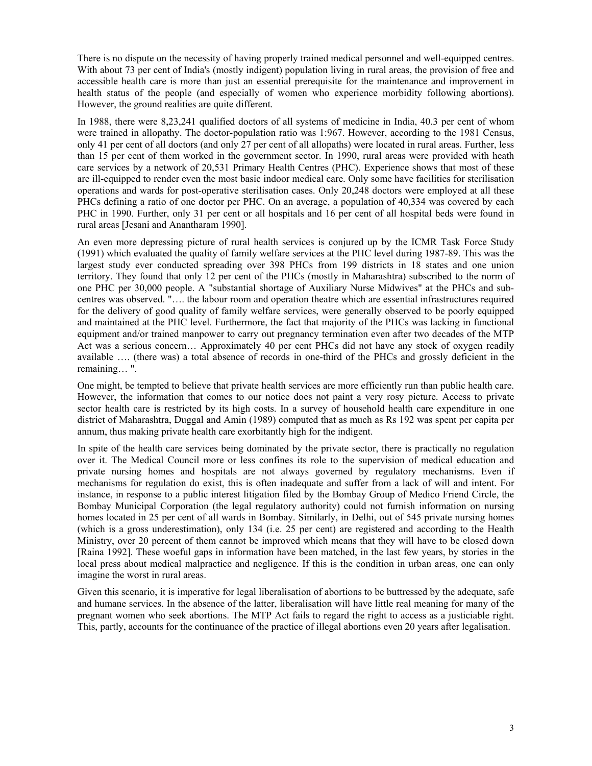There is no dispute on the necessity of having properly trained medical personnel and well-equipped centres. With about 73 per cent of India's (mostly indigent) population living in rural areas, the provision of free and accessible health care is more than just an essential prerequisite for the maintenance and improvement in health status of the people (and especially of women who experience morbidity following abortions). However, the ground realities are quite different.

In 1988, there were 8,23,241 qualified doctors of all systems of medicine in India, 40.3 per cent of whom were trained in allopathy. The doctor-population ratio was 1:967. However, according to the 1981 Census, only 41 per cent of all doctors (and only 27 per cent of all allopaths) were located in rural areas. Further, less than 15 per cent of them worked in the government sector. In 1990, rural areas were provided with heath care services by a network of 20,531 Primary Health Centres (PHC). Experience shows that most of these are ill-equipped to render even the most basic indoor medical care. Only some have facilities for sterilisation operations and wards for post-operative sterilisation cases. Only 20,248 doctors were employed at all these PHCs defining a ratio of one doctor per PHC. On an average, a population of 40,334 was covered by each PHC in 1990. Further, only 31 per cent or all hospitals and 16 per cent of all hospital beds were found in rural areas [Jesani and Anantharam 1990].

An even more depressing picture of rural health services is conjured up by the ICMR Task Force Study (1991) which evaluated the quality of family welfare services at the PHC level during 1987-89. This was the largest study ever conducted spreading over 398 PHCs from 199 districts in 18 states and one union territory. They found that only 12 per cent of the PHCs (mostly in Maharashtra) subscribed to the norm of one PHC per 30,000 people. A "substantial shortage of Auxiliary Nurse Midwives" at the PHCs and subcentres was observed. "…. the labour room and operation theatre which are essential infrastructures required for the delivery of good quality of family welfare services, were generally observed to be poorly equipped and maintained at the PHC level. Furthermore, the fact that majority of the PHCs was lacking in functional equipment and/or trained manpower to carry out pregnancy termination even after two decades of the MTP Act was a serious concern… Approximately 40 per cent PHCs did not have any stock of oxygen readily available …. (there was) a total absence of records in one-third of the PHCs and grossly deficient in the remaining… ".

One might, be tempted to believe that private health services are more efficiently run than public health care. However, the information that comes to our notice does not paint a very rosy picture. Access to private sector health care is restricted by its high costs. In a survey of household health care expenditure in one district of Maharashtra, Duggal and Amin (1989) computed that as much as Rs 192 was spent per capita per annum, thus making private health care exorbitantly high for the indigent.

In spite of the health care services being dominated by the private sector, there is practically no regulation over it. The Medical Council more or less confines its role to the supervision of medical education and private nursing homes and hospitals are not always governed by regulatory mechanisms. Even if mechanisms for regulation do exist, this is often inadequate and suffer from a lack of will and intent. For instance, in response to a public interest litigation filed by the Bombay Group of Medico Friend Circle, the Bombay Municipal Corporation (the legal regulatory authority) could not furnish information on nursing homes located in 25 per cent of all wards in Bombay. Similarly, in Delhi, out of 545 private nursing homes (which is a gross underestimation), only 134 (i.e. 25 per cent) are registered and according to the Health Ministry, over 20 percent of them cannot be improved which means that they will have to be closed down [Raina 1992]. These woeful gaps in information have been matched, in the last few years, by stories in the local press about medical malpractice and negligence. If this is the condition in urban areas, one can only imagine the worst in rural areas.

Given this scenario, it is imperative for legal liberalisation of abortions to be buttressed by the adequate, safe and humane services. In the absence of the latter, liberalisation will have little real meaning for many of the pregnant women who seek abortions. The MTP Act fails to regard the right to access as a justiciable right. This, partly, accounts for the continuance of the practice of illegal abortions even 20 years after legalisation.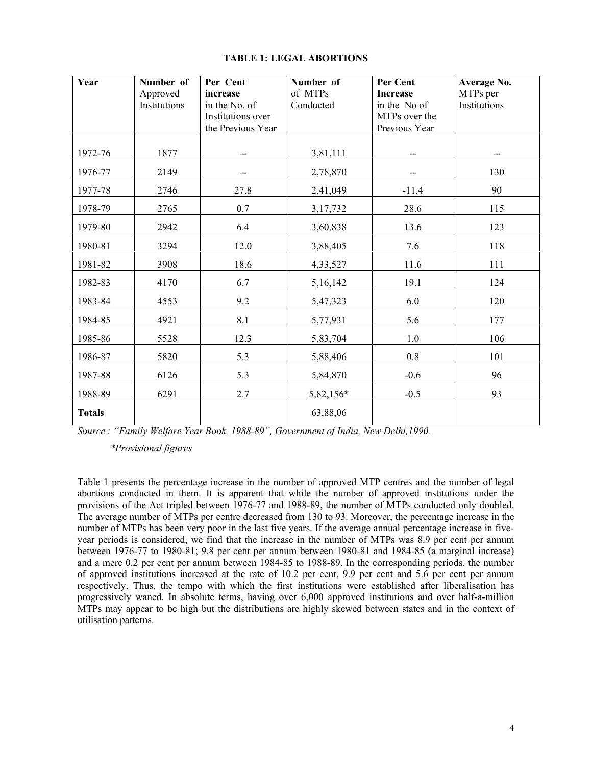| Year          | Number of<br>Approved<br>Institutions | Per Cent<br>increase<br>in the No. of<br>Institutions over<br>the Previous Year | Number of<br>of MTPs<br>Conducted | Per Cent<br><b>Increase</b><br>in the No of<br>MTPs over the<br>Previous Year | Average No.<br>MTPs per<br>Institutions |
|---------------|---------------------------------------|---------------------------------------------------------------------------------|-----------------------------------|-------------------------------------------------------------------------------|-----------------------------------------|
| 1972-76       | 1877                                  | $-$                                                                             | 3,81,111                          | --                                                                            |                                         |
| 1976-77       | 2149                                  | --                                                                              | 2,78,870                          | --                                                                            | 130                                     |
| 1977-78       | 2746                                  | 27.8                                                                            | 2,41,049                          | $-11.4$                                                                       | 90                                      |
| 1978-79       | 2765                                  | 0.7                                                                             | 3,17,732                          | 28.6                                                                          | 115                                     |
| 1979-80       | 2942                                  | 6.4                                                                             | 3,60,838                          | 13.6                                                                          | 123                                     |
| 1980-81       | 3294                                  | 12.0                                                                            | 3,88,405                          | 7.6                                                                           | 118                                     |
| 1981-82       | 3908                                  | 18.6                                                                            | 4,33,527                          | 11.6                                                                          | 111                                     |
| 1982-83       | 4170                                  | 6.7                                                                             | 5,16,142                          | 19.1                                                                          | 124                                     |
| 1983-84       | 4553                                  | 9.2                                                                             | 5,47,323                          | 6.0                                                                           | 120                                     |
| 1984-85       | 4921                                  | 8.1                                                                             | 5,77,931                          | 5.6                                                                           | 177                                     |
| 1985-86       | 5528                                  | 12.3                                                                            | 5,83,704                          | 1.0                                                                           | 106                                     |
| 1986-87       | 5820                                  | 5.3                                                                             | 5,88,406                          | $0.8\,$                                                                       | 101                                     |
| 1987-88       | 6126                                  | 5.3                                                                             | 5,84,870                          | $-0.6$                                                                        | 96                                      |
| 1988-89       | 6291                                  | 2.7                                                                             | 5,82,156*                         | $-0.5$                                                                        | 93                                      |
| <b>Totals</b> |                                       |                                                                                 | 63,88,06                          |                                                                               |                                         |

## **TABLE 1: LEGAL ABORTIONS**

*Source : "Family Welfare Year Book, 1988-89", Government of India, New Delhi,1990.* 

 *\*Provisional figures*

Table 1 presents the percentage increase in the number of approved MTP centres and the number of legal abortions conducted in them. It is apparent that while the number of approved institutions under the provisions of the Act tripled between 1976-77 and 1988-89, the number of MTPs conducted only doubled. The average number of MTPs per centre decreased from 130 to 93. Moreover, the percentage increase in the number of MTPs has been very poor in the last five years. If the average annual percentage increase in fiveyear periods is considered, we find that the increase in the number of MTPs was 8.9 per cent per annum between 1976-77 to 1980-81; 9.8 per cent per annum between 1980-81 and 1984-85 (a marginal increase) and a mere 0.2 per cent per annum between 1984-85 to 1988-89. In the corresponding periods, the number of approved institutions increased at the rate of 10.2 per cent, 9.9 per cent and 5.6 per cent per annum respectively. Thus, the tempo with which the first institutions were established after liberalisation has progressively waned. In absolute terms, having over 6,000 approved institutions and over half-a-million MTPs may appear to be high but the distributions are highly skewed between states and in the context of utilisation patterns.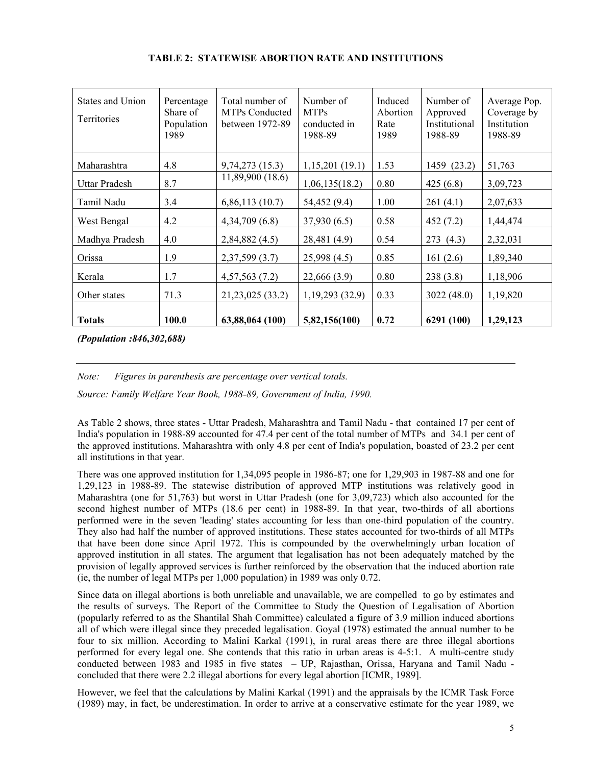| States and Union<br><b>Territories</b> | Percentage<br>Share of<br>Population<br>1989 | Total number of<br><b>MTPs Conducted</b><br>between 1972-89 | Number of<br><b>MTPs</b><br>conducted in<br>1988-89 | Induced<br>Abortion<br>Rate<br>1989 | Number of<br>Approved<br>Institutional<br>1988-89 | Average Pop.<br>Coverage by<br>Institution<br>1988-89 |
|----------------------------------------|----------------------------------------------|-------------------------------------------------------------|-----------------------------------------------------|-------------------------------------|---------------------------------------------------|-------------------------------------------------------|
| Maharashtra                            | 4.8                                          | 9,74,273 (15.3)                                             | 1,15,201(19.1)                                      | 1.53                                | 1459 (23.2)                                       | 51,763                                                |
| Uttar Pradesh                          | 8.7                                          | 11,89,900 (18.6)                                            | 1,06,135(18.2)                                      | 0.80                                | 425(6.8)                                          | 3,09,723                                              |
| Tamil Nadu                             | 3.4                                          | 6,86,113(10.7)                                              | 54,452 (9.4)                                        | 1.00                                | 261(4.1)                                          | 2,07,633                                              |
| West Bengal                            | 4.2                                          | 4,34,709(6.8)                                               | 37,930(6.5)                                         | 0.58                                | 452(7.2)                                          | 1,44,474                                              |
| Madhya Pradesh                         | 4.0                                          | 2,84,882 (4.5)                                              | 28,481 (4.9)                                        | 0.54                                | 273(4.3)                                          | 2,32,031                                              |
| Orissa                                 | 1.9                                          | 2,37,599 (3.7)                                              | 25,998 (4.5)                                        | 0.85                                | 161(2.6)                                          | 1,89,340                                              |
| Kerala                                 | 1.7                                          | 4,57,563(7.2)                                               | 22,666 (3.9)                                        | 0.80                                | 238(3.8)                                          | 1,18,906                                              |
| Other states                           | 71.3                                         | 21,23,025 (33.2)                                            | 1, 19, 293 (32.9)                                   | 0.33                                | 3022(48.0)                                        | 1,19,820                                              |
| <b>Totals</b>                          | 100.0                                        | 63,88,064 (100)                                             | 5,82,156(100)                                       | 0.72                                | 6291 (100)                                        | 1,29,123                                              |

## **TABLE 2: STATEWISE ABORTION RATE AND INSTITUTIONS**

*(Population :846,302,688)* 

*Note: Figures in parenthesis are percentage over vertical totals.* 

*Source: Family Welfare Year Book, 1988-89, Government of India, 1990.*

As Table 2 shows, three states - Uttar Pradesh, Maharashtra and Tamil Nadu - that contained 17 per cent of India's population in 1988-89 accounted for 47.4 per cent of the total number of MTPs and 34.1 per cent of the approved institutions. Maharashtra with only 4.8 per cent of India's population, boasted of 23.2 per cent all institutions in that year.

There was one approved institution for 1,34,095 people in 1986-87; one for 1,29,903 in 1987-88 and one for 1,29,123 in 1988-89. The statewise distribution of approved MTP institutions was relatively good in Maharashtra (one for 51,763) but worst in Uttar Pradesh (one for 3,09,723) which also accounted for the second highest number of MTPs (18.6 per cent) in 1988-89. In that year, two-thirds of all abortions performed were in the seven 'leading' states accounting for less than one-third population of the country. They also had half the number of approved institutions. These states accounted for two-thirds of all MTPs that have been done since April 1972. This is compounded by the overwhelmingly urban location of approved institution in all states. The argument that legalisation has not been adequately matched by the provision of legally approved services is further reinforced by the observation that the induced abortion rate (ie, the number of legal MTPs per 1,000 population) in 1989 was only 0.72.

Since data on illegal abortions is both unreliable and unavailable, we are compelled to go by estimates and the results of surveys. The Report of the Committee to Study the Question of Legalisation of Abortion (popularly referred to as the Shantilal Shah Committee) calculated a figure of 3.9 million induced abortions all of which were illegal since they preceded legalisation. Goyal (1978) estimated the annual number to be four to six million. According to Malini Karkal (1991), in rural areas there are three illegal abortions performed for every legal one. She contends that this ratio in urban areas is 4-5:1. A multi-centre study conducted between 1983 and 1985 in five states – UP, Rajasthan, Orissa, Haryana and Tamil Nadu concluded that there were 2.2 illegal abortions for every legal abortion [ICMR, 1989].

However, we feel that the calculations by Malini Karkal (1991) and the appraisals by the ICMR Task Force (1989) may, in fact, be underestimation. In order to arrive at a conservative estimate for the year 1989, we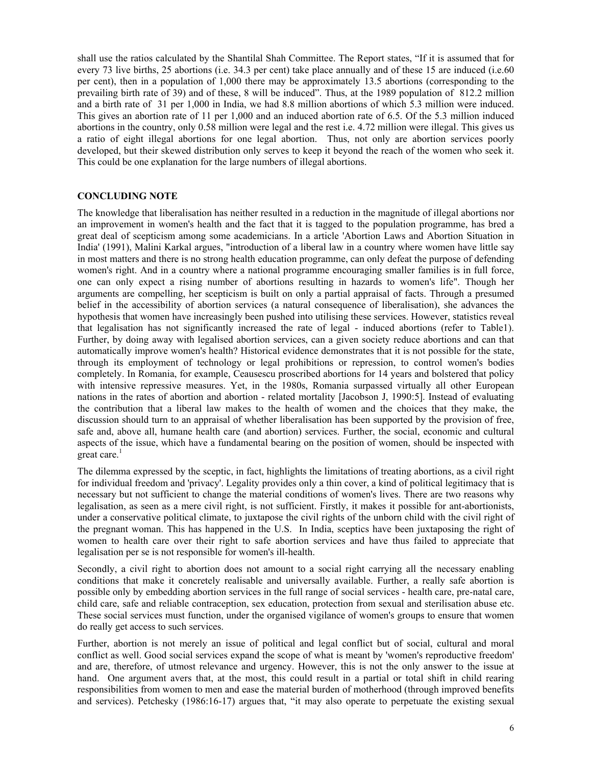shall use the ratios calculated by the Shantilal Shah Committee. The Report states, "If it is assumed that for every 73 live births, 25 abortions (i.e. 34.3 per cent) take place annually and of these 15 are induced (i.e.60 per cent), then in a population of 1,000 there may be approximately 13.5 abortions (corresponding to the prevailing birth rate of 39) and of these, 8 will be induced". Thus, at the 1989 population of 812.2 million and a birth rate of 31 per 1,000 in India, we had 8.8 million abortions of which 5.3 million were induced. This gives an abortion rate of 11 per 1,000 and an induced abortion rate of 6.5. Of the 5.3 million induced abortions in the country, only 0.58 million were legal and the rest i.e. 4.72 million were illegal. This gives us a ratio of eight illegal abortions for one legal abortion. Thus, not only are abortion services poorly developed, but their skewed distribution only serves to keep it beyond the reach of the women who seek it. This could be one explanation for the large numbers of illegal abortions.

### **CONCLUDING NOTE**

The knowledge that liberalisation has neither resulted in a reduction in the magnitude of illegal abortions nor an improvement in women's health and the fact that it is tagged to the population programme, has bred a great deal of scepticism among some academicians. In a article 'Abortion Laws and Abortion Situation in India' (1991), Malini Karkal argues, "introduction of a liberal law in a country where women have little say in most matters and there is no strong health education programme, can only defeat the purpose of defending women's right. And in a country where a national programme encouraging smaller families is in full force, one can only expect a rising number of abortions resulting in hazards to women's life". Though her arguments are compelling, her scepticism is built on only a partial appraisal of facts. Through a presumed belief in the accessibility of abortion services (a natural consequence of liberalisation), she advances the hypothesis that women have increasingly been pushed into utilising these services. However, statistics reveal that legalisation has not significantly increased the rate of legal - induced abortions (refer to Table1). Further, by doing away with legalised abortion services, can a given society reduce abortions and can that automatically improve women's health? Historical evidence demonstrates that it is not possible for the state, through its employment of technology or legal prohibitions or repression, to control women's bodies completely. In Romania, for example, Ceausescu proscribed abortions for 14 years and bolstered that policy with intensive repressive measures. Yet, in the 1980s, Romania surpassed virtually all other European nations in the rates of abortion and abortion - related mortality [Jacobson J, 1990:5]. Instead of evaluating the contribution that a liberal law makes to the health of women and the choices that they make, the discussion should turn to an appraisal of whether liberalisation has been supported by the provision of free, safe and, above all, humane health care (and abortion) services. Further, the social, economic and cultural aspects of the issue, which have a fundamental bearing on the position of women, should be inspected with great care. $<sup>1</sup>$ </sup>

The dilemma expressed by the sceptic, in fact, highlights the limitations of treating abortions, as a civil right for individual freedom and 'privacy'. Legality provides only a thin cover, a kind of political legitimacy that is necessary but not sufficient to change the material conditions of women's lives. There are two reasons why legalisation, as seen as a mere civil right, is not sufficient. Firstly, it makes it possible for ant-abortionists, under a conservative political climate, to juxtapose the civil rights of the unborn child with the civil right of the pregnant woman. This has happened in the U.S. In India, sceptics have been juxtaposing the right of women to health care over their right to safe abortion services and have thus failed to appreciate that legalisation per se is not responsible for women's ill-health.

Secondly, a civil right to abortion does not amount to a social right carrying all the necessary enabling conditions that make it concretely realisable and universally available. Further, a really safe abortion is possible only by embedding abortion services in the full range of social services - health care, pre-natal care, child care, safe and reliable contraception, sex education, protection from sexual and sterilisation abuse etc. These social services must function, under the organised vigilance of women's groups to ensure that women do really get access to such services.

Further, abortion is not merely an issue of political and legal conflict but of social, cultural and moral conflict as well. Good social services expand the scope of what is meant by 'women's reproductive freedom' and are, therefore, of utmost relevance and urgency. However, this is not the only answer to the issue at hand. One argument avers that, at the most, this could result in a partial or total shift in child rearing responsibilities from women to men and ease the material burden of motherhood (through improved benefits and services). Petchesky (1986:16-17) argues that, "it may also operate to perpetuate the existing sexual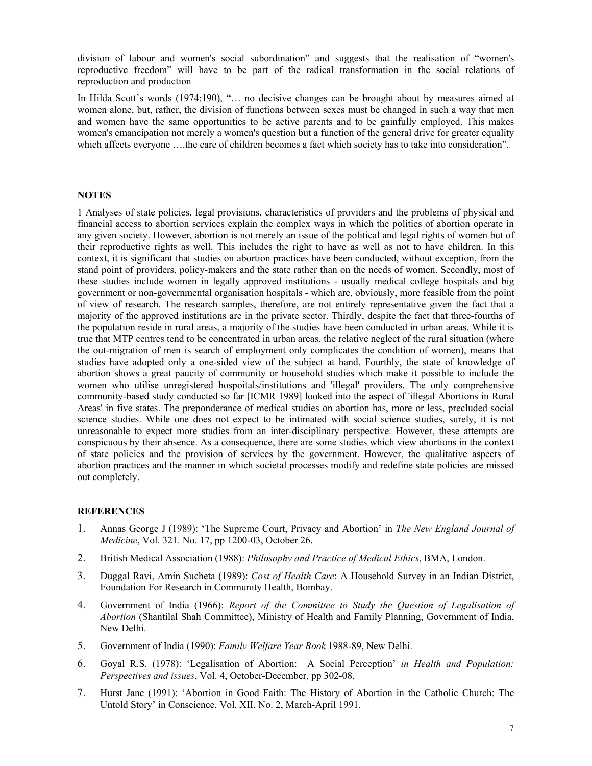division of labour and women's social subordination" and suggests that the realisation of "women's reproductive freedom" will have to be part of the radical transformation in the social relations of reproduction and production

In Hilda Scott's words (1974:190), "... no decisive changes can be brought about by measures aimed at women alone, but, rather, the division of functions between sexes must be changed in such a way that men and women have the same opportunities to be active parents and to be gainfully employed. This makes women's emancipation not merely a women's question but a function of the general drive for greater equality which affects everyone ....the care of children becomes a fact which society has to take into consideration".

#### **NOTES**

1 Analyses of state policies, legal provisions, characteristics of providers and the problems of physical and financial access to abortion services explain the complex ways in which the politics of abortion operate in any given society. However, abortion is not merely an issue of the political and legal rights of women but of their reproductive rights as well. This includes the right to have as well as not to have children. In this context, it is significant that studies on abortion practices have been conducted, without exception, from the stand point of providers, policy-makers and the state rather than on the needs of women. Secondly, most of these studies include women in legally approved institutions - usually medical college hospitals and big government or non-governmental organisation hospitals - which are, obviously, more feasible from the point of view of research. The research samples, therefore, are not entirely representative given the fact that a majority of the approved institutions are in the private sector. Thirdly, despite the fact that three-fourths of the population reside in rural areas, a majority of the studies have been conducted in urban areas. While it is true that MTP centres tend to be concentrated in urban areas, the relative neglect of the rural situation (where the out-migration of men is search of employment only complicates the condition of women), means that studies have adopted only a one-sided view of the subject at hand. Fourthly, the state of knowledge of abortion shows a great paucity of community or household studies which make it possible to include the women who utilise unregistered hospoitals/institutions and 'illegal' providers. The only comprehensive community-based study conducted so far [ICMR 1989] looked into the aspect of 'illegal Abortions in Rural Areas' in five states. The preponderance of medical studies on abortion has, more or less, precluded social science studies. While one does not expect to be intimated with social science studies, surely, it is not unreasonable to expect more studies from an inter-disciplinary perspective. However, these attempts are conspicuous by their absence. As a consequence, there are some studies which view abortions in the context of state policies and the provision of services by the government. However, the qualitative aspects of abortion practices and the manner in which societal processes modify and redefine state policies are missed out completely.

### **REFERENCES**

- 1. Annas George J (1989): 'The Supreme Court, Privacy and Abortion' in *The New England Journal of Medicine*, Vol. 321. No. 17, pp 1200-03, October 26.
- 2. British Medical Association (1988): *Philosophy and Practice of Medical Ethics*, BMA, London.
- 3. Duggal Ravi, Amin Sucheta (1989): *Cost of Health Care*: A Household Survey in an Indian District, Foundation For Research in Community Health, Bombay.
- 4. Government of India (1966): *Report of the Committee to Study the Question of Legalisation of Abortion* (Shantilal Shah Committee), Ministry of Health and Family Planning, Government of India, New Delhi.
- 5. Government of India (1990): *Family Welfare Year Book* 1988-89, New Delhi.
- 6. Goyal R.S. (1978): 'Legalisation of Abortion: A Social Perception' *in Health and Population: Perspectives and issues*, Vol. 4, October-December, pp 302-08,
- 7. Hurst Jane (1991): 'Abortion in Good Faith: The History of Abortion in the Catholic Church: The Untold Story' in Conscience, Vol. XII, No. 2, March-April 1991.